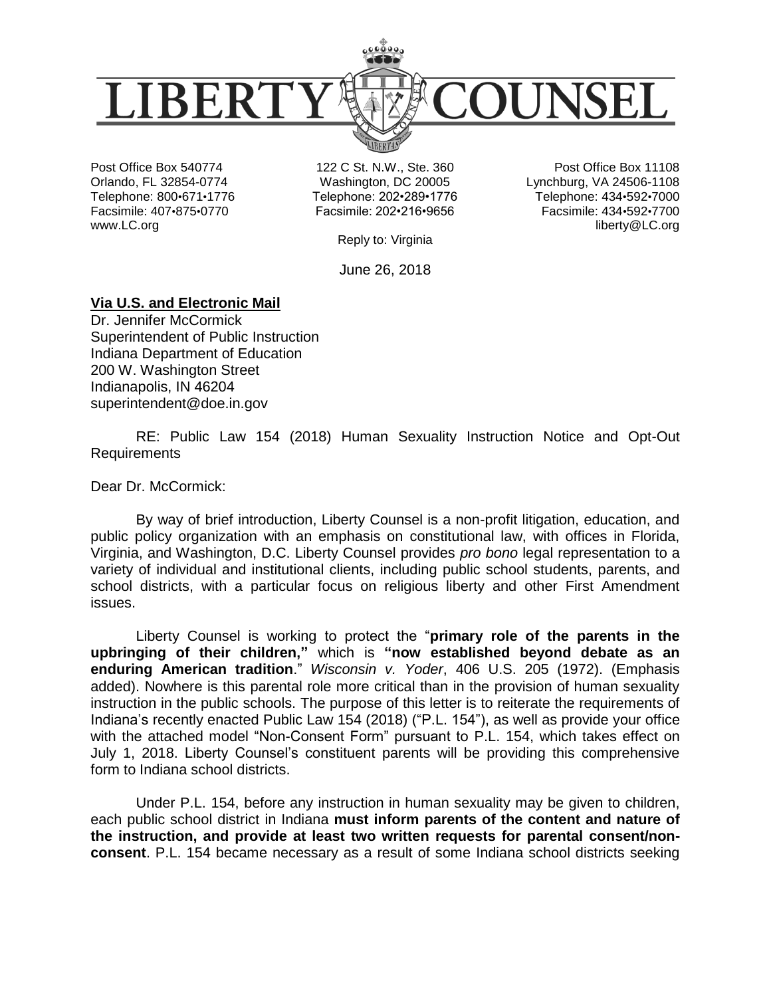

Post Office Box 540774 Orlando, FL 32854-0774 Telephone: 800•671•1776 Facsimile: 407•875•0770 www.LC.org

122 C St. N.W., Ste. 360 Washington, DC 20005 Telephone: 202•289•1776 Facsimile: 202•216•9656

Post Office Box 11108 Lynchburg, VA 24506-1108 Telephone: 434•592•7000 Facsimile: 434•592•7700 liberty@LC.org

Reply to: Virginia

June 26, 2018

## **Via U.S. and Electronic Mail**

Dr. Jennifer McCormick Superintendent of Public Instruction Indiana Department of Education 200 W. Washington Street Indianapolis, IN 46204 superintendent@doe.in.gov

RE: Public Law 154 (2018) Human Sexuality Instruction Notice and Opt-Out Requirements

Dear Dr. McCormick:

By way of brief introduction, Liberty Counsel is a non-profit litigation, education, and public policy organization with an emphasis on constitutional law, with offices in Florida, Virginia, and Washington, D.C. Liberty Counsel provides *pro bono* legal representation to a variety of individual and institutional clients, including public school students, parents, and school districts, with a particular focus on religious liberty and other First Amendment issues.

Liberty Counsel is working to protect the "**primary role of the parents in the upbringing of their children,"** which is **"now established beyond debate as an enduring American tradition**." *Wisconsin v. Yoder*, 406 U.S. 205 (1972). (Emphasis added). Nowhere is this parental role more critical than in the provision of human sexuality instruction in the public schools. The purpose of this letter is to reiterate the requirements of Indiana's recently enacted Public Law 154 (2018) ("P.L. 154"), as well as provide your office with the attached model "Non-Consent Form" pursuant to P.L. 154, which takes effect on July 1, 2018. Liberty Counsel's constituent parents will be providing this comprehensive form to Indiana school districts.

Under P.L. 154, before any instruction in human sexuality may be given to children, each public school district in Indiana **must inform parents of the content and nature of the instruction, and provide at least two written requests for parental consent/nonconsent**. P.L. 154 became necessary as a result of some Indiana school districts seeking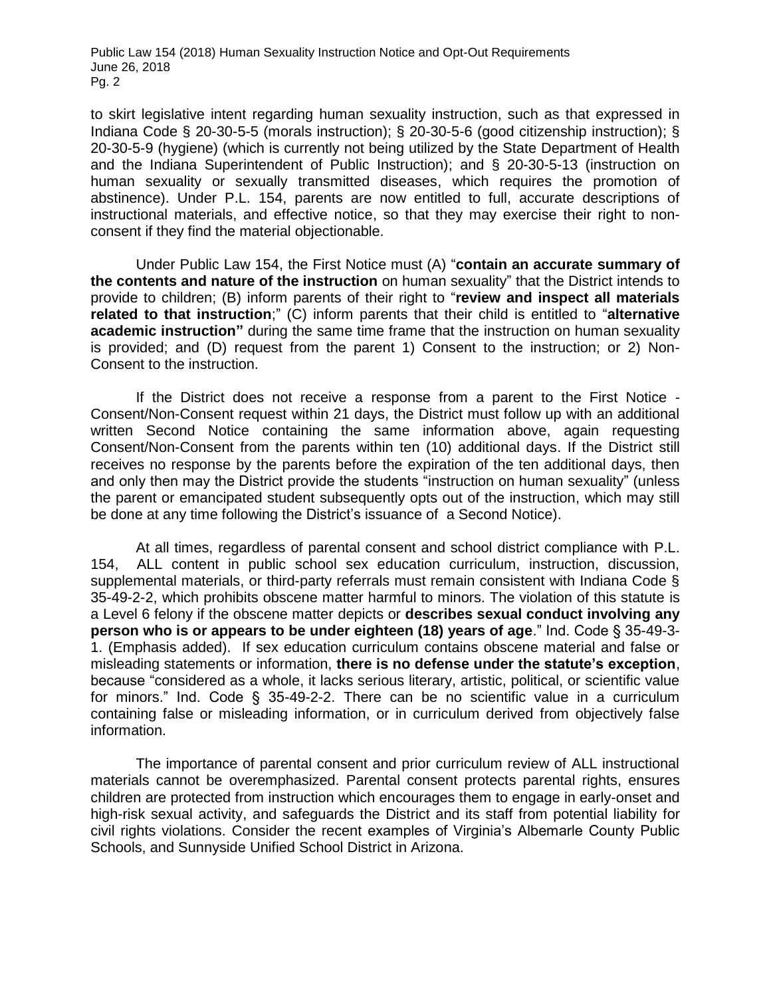to skirt legislative intent regarding human sexuality instruction, such as that expressed in Indiana Code § 20-30-5-5 (morals instruction); § 20-30-5-6 (good citizenship instruction); § 20-30-5-9 (hygiene) (which is currently not being utilized by the State Department of Health and the Indiana Superintendent of Public Instruction); and § 20-30-5-13 (instruction on human sexuality or sexually transmitted diseases, which requires the promotion of abstinence). Under P.L. 154, parents are now entitled to full, accurate descriptions of instructional materials, and effective notice, so that they may exercise their right to nonconsent if they find the material objectionable.

Under Public Law 154, the First Notice must (A) "**contain an accurate summary of the contents and nature of the instruction** on human sexuality" that the District intends to provide to children; (B) inform parents of their right to "**review and inspect all materials related to that instruction**;" (C) inform parents that their child is entitled to "**alternative academic instruction"** during the same time frame that the instruction on human sexuality is provided; and (D) request from the parent 1) Consent to the instruction; or 2) Non-Consent to the instruction.

If the District does not receive a response from a parent to the First Notice - Consent/Non-Consent request within 21 days, the District must follow up with an additional written Second Notice containing the same information above, again requesting Consent/Non-Consent from the parents within ten (10) additional days. If the District still receives no response by the parents before the expiration of the ten additional days, then and only then may the District provide the students "instruction on human sexuality" (unless the parent or emancipated student subsequently opts out of the instruction, which may still be done at any time following the District's issuance of a Second Notice).

At all times, regardless of parental consent and school district compliance with P.L. 154, ALL content in public school sex education curriculum, instruction, discussion, supplemental materials, or third-party referrals must remain consistent with Indiana Code § 35-49-2-2, which prohibits obscene matter harmful to minors. The violation of this statute is a Level 6 felony if the obscene matter depicts or **describes sexual conduct involving any person who is or appears to be under eighteen (18) years of age**." Ind. Code § 35-49-3- 1. (Emphasis added). If sex education curriculum contains obscene material and false or misleading statements or information, **there is no defense under the statute's exception**, because "considered as a whole, it lacks serious literary, artistic, political, or scientific value for minors." Ind. Code § 35-49-2-2. There can be no scientific value in a curriculum containing false or misleading information, or in curriculum derived from objectively false information.

The importance of parental consent and prior curriculum review of ALL instructional materials cannot be overemphasized. Parental consent protects parental rights, ensures children are protected from instruction which encourages them to engage in early-onset and high-risk sexual activity, and safeguards the District and its staff from potential liability for civil rights violations. Consider the recent examples of Virginia's Albemarle County Public Schools, and Sunnyside Unified School District in Arizona.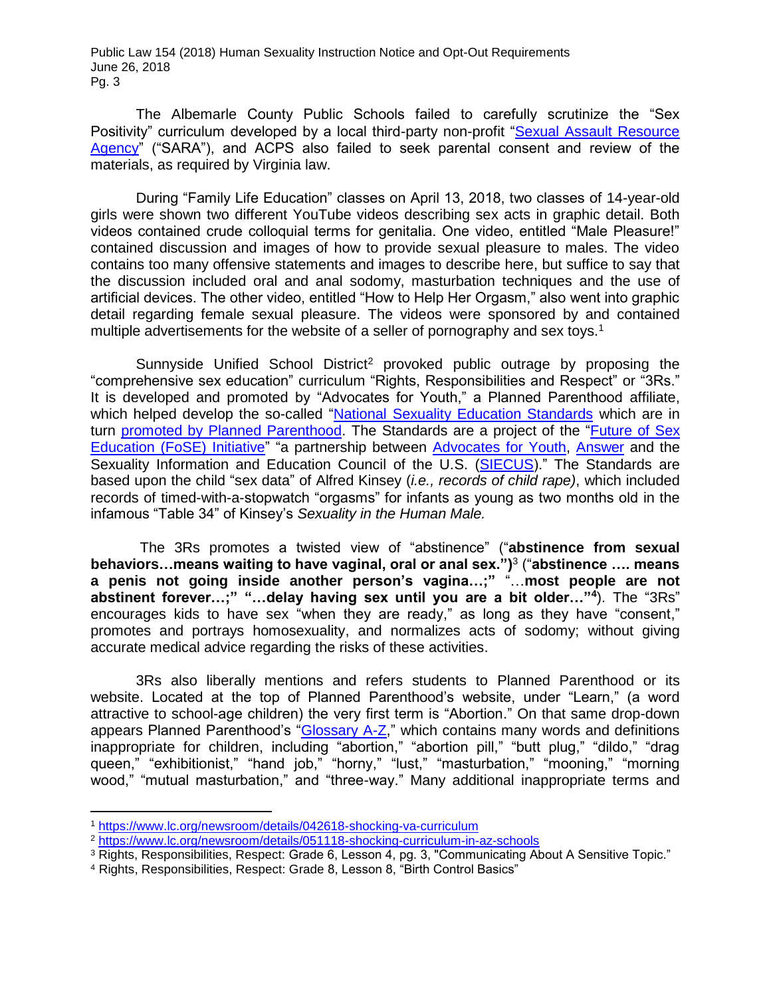The Albemarle County Public Schools failed to carefully scrutinize the "Sex Positivity" curriculum developed by a local third-party non-profit "Sexual Assault Resource [Agency"](http://saracville.org/) ("SARA"), and ACPS also failed to seek parental consent and review of the materials, as required by Virginia law.

During "Family Life Education" classes on April 13, 2018, two classes of 14-year-old girls were shown two different YouTube videos describing sex acts in graphic detail. Both videos contained crude colloquial terms for genitalia. One video, entitled "Male Pleasure!" contained discussion and images of how to provide sexual pleasure to males. The video contains too many offensive statements and images to describe here, but suffice to say that the discussion included oral and anal sodomy, masturbation techniques and the use of artificial devices. The other video, entitled "How to Help Her Orgasm," also went into graphic detail regarding female sexual pleasure. The videos were sponsored by and contained multiple advertisements for the website of a seller of pornography and sex toys.<sup>1</sup>

Sunnyside Unified School District<sup>2</sup> provoked public outrage by proposing the "comprehensive sex education" curriculum "Rights, Responsibilities and Respect" or "3Rs." It is developed and promoted by "Advocates for Youth," a Planned Parenthood affiliate, which helped develop the so-called ["National Sexuality Education Standards](http://www.futureofsexed.org/documents/josh-fose-standards-web.pdf) which are in turn [promoted by Planned Parenthood.](https://www.plannedparenthood.org/files/3713/9611/7930/Sex_Ed_in_the_US.pdf) The Standards are a project of the ["Future of Sex](http://www.futureofsexed.org/)  [Education \(FoSE\) Initiative"](http://www.futureofsexed.org/) "a partnership between [Advocates for Youth,](http://www.advocatesforyouth.org/) [Answer](http://answer.rutgers.edu/) and the Sexuality Information and Education Council of the U.S. [\(SIECUS\)](http://www.siecus.org/)." The Standards are based upon the child "sex data" of Alfred Kinsey (*i.e., records of child rape)*, which included records of timed-with-a-stopwatch "orgasms" for infants as young as two months old in the infamous "Table 34" of Kinsey's *Sexuality in the Human Male.*

The 3Rs promotes a twisted view of "abstinence" ("**abstinence from sexual behaviors…means waiting to have vaginal, oral or anal sex.")** 3 ("**abstinence …. means a penis not going inside another person's vagina…;"** "…**most people are not abstinent forever…;" "…delay having sex until you are a bit older…"<sup>4</sup>** ). The "3Rs" encourages kids to have sex "when they are ready," as long as they have "consent," promotes and portrays homosexuality, and normalizes acts of sodomy; without giving accurate medical advice regarding the risks of these activities.

3Rs also liberally mentions and refers students to Planned Parenthood or its website. Located at the top of Planned Parenthood's website, under "Learn," (a word attractive to school-age children) the very first term is "Abortion." On that same drop-down appears Planned Parenthood's ["Glossary A-Z,](https://www.plannedparenthood.org/learn/glossary)" which contains many words and definitions inappropriate for children, including "abortion," "abortion pill," "butt plug," "dildo," "drag queen," "exhibitionist," "hand job," "horny," "lust," "masturbation," "mooning," "morning wood," "mutual masturbation," and "three-way." Many additional inappropriate terms and

 $\overline{a}$ 

<sup>1</sup> <https://www.lc.org/newsroom/details/042618-shocking-va-curriculum>

<sup>2</sup> <https://www.lc.org/newsroom/details/051118-shocking-curriculum-in-az-schools>

<sup>3</sup> Rights, Responsibilities, Respect: Grade 6, Lesson 4, pg. 3, "Communicating About A Sensitive Topic."

<sup>4</sup> Rights, Responsibilities, Respect: Grade 8, Lesson 8, "Birth Control Basics"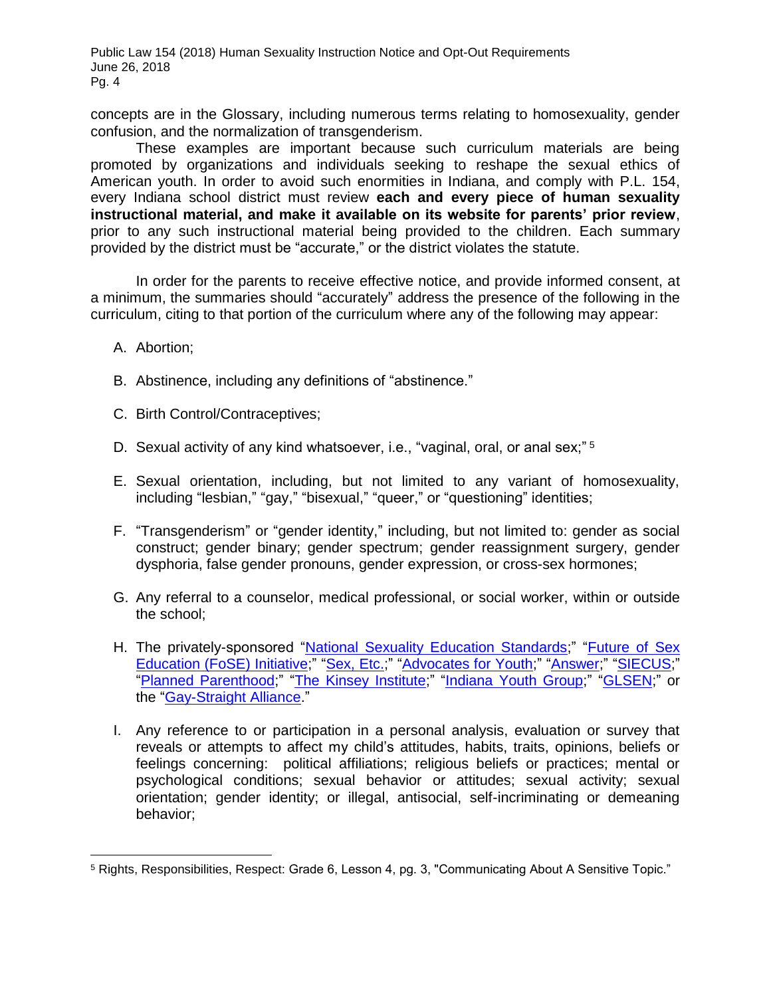concepts are in the Glossary, including numerous terms relating to homosexuality, gender confusion, and the normalization of transgenderism.

These examples are important because such curriculum materials are being promoted by organizations and individuals seeking to reshape the sexual ethics of American youth. In order to avoid such enormities in Indiana, and comply with P.L. 154, every Indiana school district must review **each and every piece of human sexuality instructional material, and make it available on its website for parents' prior review**, prior to any such instructional material being provided to the children. Each summary provided by the district must be "accurate," or the district violates the statute.

In order for the parents to receive effective notice, and provide informed consent, at a minimum, the summaries should "accurately" address the presence of the following in the curriculum, citing to that portion of the curriculum where any of the following may appear:

A. Abortion;

 $\overline{a}$ 

- B. Abstinence, including any definitions of "abstinence."
- C. Birth Control/Contraceptives;
- D. Sexual activity of any kind whatsoever, i.e., "vaginal, oral, or anal sex;"<sup>5</sup>
- E. Sexual orientation, including, but not limited to any variant of homosexuality, including "lesbian," "gay," "bisexual," "queer," or "questioning" identities;
- F. "Transgenderism" or "gender identity," including, but not limited to: gender as social construct; gender binary; gender spectrum; gender reassignment surgery, gender dysphoria, false gender pronouns, gender expression, or cross-sex hormones;
- G. Any referral to a counselor, medical professional, or social worker, within or outside the school;
- H. The privately-sponsored ["National Sexuality Education Standards;](http://www.futureofsexed.org/documents/josh-fose-standards-web.pdf)" ["Future of Sex](http://www.futureofsexed.org/)  [Education \(FoSE\) Initiative;](http://www.futureofsexed.org/)" ["Sex, Etc.;](https://sexetc.org/)" ["Advocates for Youth;](http://www.advocatesforyouth.org/)" ["Answer;](http://answer.rutgers.edu/)" ["SIECUS;](http://www.siecus.org/)" ["Planned Parenthood;](http://www.plannedparenthood.org/)" ["The Kinsey Institute;](http://www.kinseyinstitute.org/)" ["Indiana Youth Group;](http://www.indianayouthgroup.org/)" ["GLSEN;](https://www.glsen.org/)" or the ["Gay-Straight Alliance.](https://gsanetwork.org/)"
- I. Any reference to or participation in a personal analysis, evaluation or survey that reveals or attempts to affect my child's attitudes, habits, traits, opinions, beliefs or feelings concerning: political affiliations; religious beliefs or practices; mental or psychological conditions; sexual behavior or attitudes; sexual activity; sexual orientation; gender identity; or illegal, antisocial, self-incriminating or demeaning behavior;

<sup>5</sup> Rights, Responsibilities, Respect: Grade 6, Lesson 4, pg. 3, "Communicating About A Sensitive Topic."